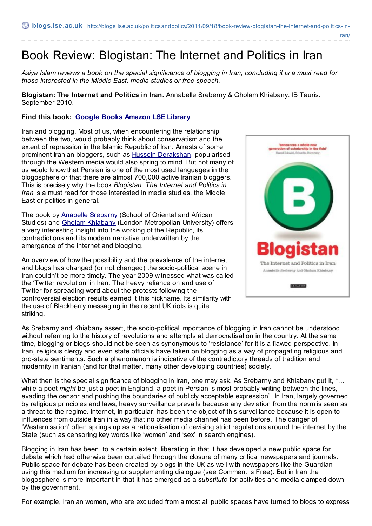iran/

## Book Review: Blogistan: The Internet and Politics in Iran

Asiya Islam reviews a book on the special significance of blogging in Iran, concluding it is a must read for *those interested in the Middle East, media studies or free speech.*

**Blogistan: The Internet and Politics in Iran.** Annabelle Sreberny & Gholam Khiabany. IB Tauris. September 2010.

## **Find this book: [Google](http://books.google.co.uk/books?id=KrGe20F4nQcC&dq=Blogistan:+The+Internet+and+Politics+in+Iran&source=gbs_navlinks_s) Books [Amazon](http://www.amazon.co.uk/Blogistan-Internet-Politics-International-Library/dp/1845116070) LSE [Library](https://catalogue.lse.ac.uk/Record/1266203)**

Iran and blogging. Most of us, when encountering the relationship between the two, would probably think about conservatism and the extent of repression in the Islamic Republic of Iran. Arrests of some prominent Iranian bloggers, such as Hussein [Derakshan](http://www.timesonline.co.uk/tol/news/world/middle_east/article5190462.ece), popularised through the Western media would also spring to mind. But not many of us would know that Persian is one of the most used languages in the blogosphere or that there are almost 700,000 active Iranian bloggers. This is precisely why the book *Blogistan: The Internet and Politics in Iran* is a must read for those interested in media studies, the Middle East or politics in general.

The book by Anabelle [Srebarny](http://www.soas.ac.uk/staff/staff31856.php) (School of Oriental and African Studies) and Gholam [Khiabany](http://www.londonmet.ac.uk/depts/fass/staff/gholamkhiabany/) (London Metropolian University) offers a very interesting insight into the working of the Republic, its contradictions and its modern narrative underwritten by the emergence of the internet and blogging.

An overview of how the possibility and the prevalence of the internet and blogs has changed (or not changed) the socio-political scene in Iran couldn't be more timely. The year 2009 witnessed what was called the 'Twitter revolution' in Iran. The heavy reliance on and use of Twitter for spreading word about the protests following the controversial election results earned it this nickname. Its similarity with the use of Blackberry messaging in the recent UK riots is quite striking.



As Srebarny and Khiabany assert, the socio-political importance of blogging in Iran cannot be understood without referring to the history of revolutions and attempts at democratisation in the country. At the same time, blogging or blogs should not be seen as synonymous to 'resistance' for it is a flawed perspective. In Iran, religious clergy and even state officials have taken on blogging as a way of propagating religious and pro-state sentiments. Such a phenomenon is indicative of the contradictory threads of tradition and modernity in Iranian (and for that matter, many other developing countries) society.

What then is the special significance of blogging in Iran, one may ask. As Srebarny and Khiabany put it, "... while a poet *might* be just a poet in England, a poet in Persian is most probably writing between the lines, evading the censor and pushing the boundaries of publicly acceptable expression". In Iran, largely governed by religious principles and laws, heavy surveillance prevails because any deviation from the norm is seen as a threat to the regime. Internet, in particular, has been the object of this surveillance because it is open to influences from outside Iran in a way that no other media channel has been before. The danger of 'Westernisation' often springs up as a rationalisation of devising strict regulations around the internet by the State (such as censoring key words like 'women' and 'sex' in search engines).

Blogging in Iran has been, to a certain extent, liberating in that it has developed a new public space for debate which had otherwise been curtailed through the closure of many critical newspapers and journals. Public space for debate has been created by blogs in the UK as well with newspapers like the Guardian using this medium for increasing or supplementing dialogue (see Comment is Free). But in Iran the blogosphere is more important in that it has emerged as a *substitute* for activities and media clamped down by the government.

For example, Iranian women, who are excluded from almost all public spaces have turned to blogs to express